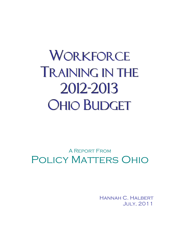# WORKFORCE TRAINING IN THE 2012-2013 OHIO BUDGET

A Report From Policy Matters Ohio

> Hannah C. Halbert July, 2011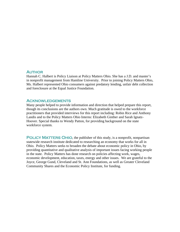#### **AUTHOR**

Hannah C. Halbert is Policy Liaison at Policy Matters Ohio. She has a J.D. and master's in nonprofit management from Hamline University. Prior to joining Policy Matters Ohio, Ms. Halbert represented Ohio consumers against predatory lending, unfair debt collection and foreclosure at the Equal Justice Foundation.

#### **ACKNOWLEDGEMENTS**

Many people helped to provide information and direction that helped prepare this report, though its conclusions are the authors own. Much gratitude is owed to the workforce practitioners that provided interviews for this report including: Robin Rice and Anthony Landis and to the Policy Matters Ohio Interns: Elizabeth Ginther and Sarah Ignatz-Hoover. Special thanks to Wendy Patton, for providing background on the state workforce system.

POLICY MATTERS OHIO, the publisher of this study, is a nonprofit, nonpartisan statewide research institute dedicated to researching an economy that works for all in Ohio. Policy Matters seeks to broaden the debate about economic policy in Ohio, by providing quantitative and qualitative analysis of important issues facing working people in the state. Policy Matters has done research on policies affecting work, wages, economic development, education, taxes, energy and other issues. We are grateful to the Joyce, George Gund, Cleveland and St. Ann Foundations, as well as Greater Cleveland Community Shares and the Economic Policy Institute, for funding.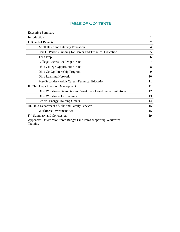# TABLE OF CONTENTS

| <b>Executive Summary</b>                                                      |                |
|-------------------------------------------------------------------------------|----------------|
| Introduction                                                                  | 1              |
| I. Board of Regents                                                           | $\overline{2}$ |
| <b>Adult Basic and Literacy Education</b>                                     | 4              |
| Carl D. Perkins Funding for Career and Technical Education                    | 5              |
| <b>Tech Prep</b>                                                              | 6              |
| College Access Challenge Grant                                                | 7              |
| <b>Ohio College Opportunity Grant</b>                                         | 8              |
| Ohio Co-Op Internship Program                                                 | 9              |
| <b>Ohio Learning Network</b>                                                  | 10             |
| Post-Secondary Adult Career-Technical Education                               | 11             |
| II. Ohio Department of Development                                            | 11             |
| Ohio Workforce Guarantee and Workforce Development Initiatives                | 12             |
| Ohio Workforce Job Training                                                   | 13             |
| <b>Federal Energy Training Grants</b>                                         | 14             |
| III. Ohio Department of Jobs and Family Services                              | 15             |
| Workforce Investment Act                                                      | 15             |
| IV. Summary and Conclusion                                                    | 19             |
| Appendix: Ohio's Workforce Budget Line Items supporting Workforce<br>Training |                |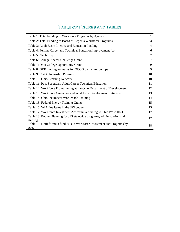# Table of Figures and Tables

| Table 1: Total Funding to Workforce Programs by Agency                               | $\mathbf{1}$   |
|--------------------------------------------------------------------------------------|----------------|
| Table 2: Total Funding to Board of Regents Workforce Programs                        | 3              |
| Table 3: Adult Basic Literacy and Education Funding                                  | $\overline{4}$ |
| Table 4: Perkins Career and Technical Education Improvement Act                      | 6              |
| Table 5: Tech Prep                                                                   | $\overline{7}$ |
| Table 6: College Access Challenge Grant                                              | 7              |
| Table 7: Ohio College Opportunity Grant                                              | 9              |
| Table 8: GRF funding earmarks for OCOG by institution type                           | 9              |
| Table 9: Co-Op Internship Program                                                    | 10             |
| Table 10: Ohio Learning Network                                                      | 10             |
| Table 11: Post-Secondary Adult Career Technical Education                            | 11             |
| Table 12: Workforce Programming at the Ohio Department of Development                | 12             |
| Table 13: Workforce Guarantee and Workforce Development Initiatives                  | 13             |
| Table 14: Ohio Incumbent Worker Job Training                                         | 14             |
| Table 15: Federal Energy Training Grants                                             | 15             |
| Table 16: WIA line items in the JFS budget                                           | 15             |
| Table 17: Workforce Investment Act formula funding to Ohio PY 2006-11                | 17             |
| Table 18: Budget Planning for JFS statewide programs, administration and<br>staffing | 17             |
| Table 19: Draft formula fund cuts to Workforce Investment Act Programs by<br>Area    | 18             |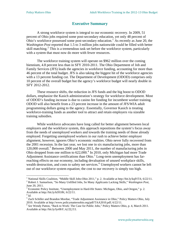## **Executive Summary**

<span id="page-4-0"></span>A strong workforce system is integral to our economic recovery. In 2009, 51 percent of Ohio jobs required some post-secondary education, yet only 48 percent of Ohio's workforce possessed some post-secondary education.<sup>[1](#page-4-0)</sup> As recently as June 20, the *Washington Post* reported that 1.5 to 3 million jobs nationwide could be filled with better skill matching.<sup>[2](#page-4-0)</sup> This is a tremendous task set before the workforce system, particularly with a system that must now do more with fewer resources.

The workforce training system will operate on \$962 million over the coming biennium, 4.8 percent less than in SFY 2010-2011. The Ohio Department of Job and Family Services (JFS) leads the agencies in workforce funding, accounting for more than 46 percent of the total budget. JFS is also taking the biggest hit of the workforce agencies with a 13 percent funding cut. The Department of Development (ODOD) comprises only 10 percent of the overall budget but the agency's workforce budget will nearly double in SFY 2012-2012.

These resource shifts, the reduction in JFS funds and the big boost to ODOD dollars, emphasize the Kasich administration's strategy for workforce development. Most of ODOD's funding increase is due to casino fee funding for incumbent worker training. ODOD will also benefit from a 23 percent increase in the amount of JFS/WIA adult programming dollars going to the agency. Essentially, Governor Kasich is treating workforce-training funds as another tool to attract and retain employers via sizeable training subsidies.

out of our workforce system e quation; the cost to our recovery is simply too high. While workforce advocates have long called for better alignment between local employers and the workforce system, this approach repositions the system's focus away from the needs of unemployed workers and towards the training needs of those already employed. Forgetting unemployed workers in our rush to achieve better employer alignment, however, ignores Ohio's economic realities. Ohio never fully recovered from the 2001 recession. In the last year, we lost one in six manufacturing jobs, more than 120,000 overall.<sup>[3](#page-4-0)</sup> Between 2000 and May 2011, the number of manufacturing jobs in Ohio dropped from one million to  $622,000$ .<sup>[4](#page-4-0)</sup> In 2010, only Michigan had more Trade Adjustment Assistance certifications than Ohio.<sup>[5](#page-4-0)</sup> Long-term unemployment has farreaching effects on our economy, including devaluation of unused workplace skills, wealth destruction, and costs to safety net services.<sup>[6](#page-4-0)</sup> Unemployed workers cannot be left

<sup>&</sup>lt;sup>1</sup> National Skills Coalition, "Middle Skill Jobs-Ohio 2011," p. 2. Available at http://bit.ly/kqFtTA; 6/22/11.

<sup>2</sup> Robert J. Samuelson, "So Many Unfilled Jobs, So Many Applicants Lacking Skills," *Washington Post*, June 20, 2011.

<sup>&</sup>lt;sup>3</sup> Economic Policy Institute, "Unemployment in Hard-Hit States: Michigan, Ohio, and Oregon," p. 2. Available at http://bit.ly/kfJOJK; 6/22/11.

 $^{4}$  *Id.* 

<sup>&</sup>lt;sup>5</sup> Zach Schiller and Brandon Mordue, "Trade Adjustment Assistance in Ohio," Policy Matters Ohio, July 2010. Available at http://www.policymattersohio.org/pdf/TAA2010.pdf; 6/22/11.<br><sup>6</sup> See Wendy Patton, "Back to Work: The Case for Public Jobs," Policy Matters Ohio, p. 4, March 2011.

Available at http://bit.ly/lyr0bY; 6/22/11.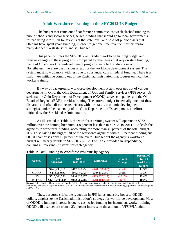### **Adult Workforce Training in the SFY 2012-13 Budget**

The budget that came out of conference committee last week slashed funding to public schools and social services, seized funding that should go to local governments instead using it to fill in for tax cuts at the state level, and sold off public assets that Ohioans have spent years building, in order to get one time revenue. For this reason, many dubbed it a slash, seize and sell budget.

This paper outlines the SFY 2012-2013 adult workforce training budget and reviews changes to these programs. Compared to other areas that rely on state funding, many of Ohio's workforce-development programs were left relatively intact. Nonetheless, there are big changes ahead for the workforce development system. The system must now do more with less due to substantial cuts in federal funding. There is a major new initiative coming out of the Kasich administration that focuses on incumbent worker training.

By way of background, workforce development system operates out of various departments in Ohio: the Ohio Department of Jobs and Family Services (JFS) serves job seekers; the Ohio Department of Development (ODOD) serves companies and the Ohio Board of Regents (BOR) provides training. The current budget fosters alignment of these disparate and often disconnected efforts with the state's economic development strategies, under the leadership of the Ohio Department of Development, an effort initiated by the Strickland Administration.

As illustrated in Table 1, the workforce training system will operate on \$962 million over the coming biennium, 4.8 percent less than in SFY 2010-2011. JFS leads the agencies in workforce funding, accounting for more than 46 percent of the total budget. JFS is also taking the biggest hit of the workforce agencies with a 13 percent funding cut. ODOD comprises only 10 percent of the overall budget but the agency's workforce budget will nearly double in SFY 2012-2012. The Table provided in Appendix A, contains all relevant line items for each agency.

| <b>Agency</b> | <b>SFY</b><br>2010-2011 | <b>SFY</b><br>2012-2013 | ັ<br><b>Difference</b> | <b>Percent</b><br><b>Change</b> | <b>Percent of</b><br><b>Overall</b><br><b>Workforce</b><br><b>Budget</b> |
|---------------|-------------------------|-------------------------|------------------------|---------------------------------|--------------------------------------------------------------------------|
| <b>BOR</b>    | \$445,736,961           | \$417,028,258           | $(\$28,708,703)$       | $-6.4\%$                        | 43.3%                                                                    |
| <b>ODOD</b>   | \$49,528,066            | \$98,944,056            | \$49,415,990           | 99.8%                           | 10.3%                                                                    |
| <b>JFS</b>    | \$515,640,592           | \$446,632,975           | $(\$69,007,617)$       | $-13.4%$                        | 46.4%                                                                    |
| <b>TOTAL</b>  | \$1,010,905,619         | \$962,605,289           | $(\$48,300,330)$       | $-4.8%$                         | 100%                                                                     |

#### Table 1: Total Funding to Workforce Programs by Agency

**Source:** Policy Matters Ohio, based on Ohio Legislative Service Commission, Budget in Detail, as reported out of conference committee, available at http://bit.ly/l6bv7J; 6/30/11. BOR line includes Department of Education funding supporting Perkins programs and Tech Prep.

These resource shifts, the reduction in JFS funds and a big boost to ODOD dollars, emphasize the Kasich administration's strategy for workforce development. Most of ODOD's funding increase is due to casino fee funding for incumbent worker training. ODOD will also benefit from a 23 percent increase in the amount of JFS/WIA adult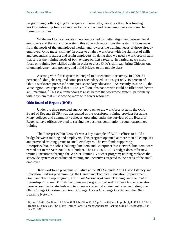programming dollars going to the agency. Essentially, Governor Kasich is treating workforce-training funds as another tool to attract and retain employers via sizeable training subsidies.

While workforce advocates have long called for better alignment between local employers and the workforce system, this approach repositions the system's focus away from the needs of the unemployed worker and towards the training needs of those already employed. Ohio must "skill up" in order to attain a workforce with the right set of skills and credentials to attract and retain employers. In doing that, we need a workforce system that serves the training needs of *both employers and workers*. In particular, we must focus on training low-skilled adults in order to close Ohio's skill gap, bring Ohioans out of unemployment and poverty, and build bridges to the middle class.

A strong workforce system is integral to our economic recovery. In 2009, 51 percent of Ohio jobs required some post-secondary education, yet only 48 percent of Ohio's workforce possessed some post-secondary education.<sup>[1](#page-6-0)</sup> As recently as June 20, the Washington Post reported that 1.5 to 3 million jobs nationwide could be filled with better skill matching.<sup>[2](#page-6-1)</sup> This is a tremendous task set before the workforce system, particularly with a system that must now do more with fewer resources.

#### **Ohio Board of Regents (BOR)**

Under the three-pronged agency approach to the workforce system, the Ohio Board of Regents (BOR) was designated as the workforce-training provider for adults. Many colleges and community colleges, operating under the purview of the Board of Regents, have offices devoted to serving the business community through customized training.

The EnterpriseOhio Network was a key example of BOR's efforts to build a bridge between training and employers. This program operated at more than 50 campuses and provided training grants to small employers. The two funds supporting EnterpriseOhio, the Jobs Challenge line item and EnterpriseOhio Network line item, were zeroed out in the SFY 2010-2011 budget. The SFY 2012-2013 budget does offer new training incentives through the Worker Training Voucher program; nothing replaces the statewide system of coordinated training and incentives targeted to the needs of the small employer.

Ohio College Opportunities G rant, College Access Challenge Grants, and the Ohio Learning Network. Key workforce programs still alive at the BOR include Adult Basic Literacy and Education, Perkins programming: the Career and Technical Education Improvement Grant and Tech Prep program, Adult Post Secondary-Career Training, and the Co-Op Internship Program. BOR also administers programs that seek to make higher education more accessible for students and to increase credential attainment rates, including: the

<span id="page-6-1"></span><span id="page-6-0"></span><sup>&</sup>lt;sup>1</sup> National Skills Coalition, "Middle Skill Jobs-Ohio 2011," p. 2, available at http://bit.ly/kqFtTA; 6/22/11. 2 Robert J. Samuelson, "So Many Unfilled Jobs, So Many Applicants Lacking Skills," *Washington Post*, June 20, 2011.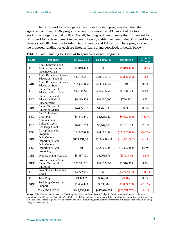The BOR workforce budget carries more line item programs than the other agencies combined. BOR programs account for more than 43 percent of the total workforce budget, second to JFS. Overall, funding is down by more than 12 percent for BOR workforce development initiatives. The only stable line item in the BOR workforce slate is state GRF funding to Adult Basic Literacy and Education. These programs and the proposed funding for each are listed in Table 2 and described, in detail, below.

| <b>Fund</b> | Program                                                                     | <b>SFY2010-11</b>            | <b>SFY2012-13</b> | <b>Difference</b>        | <b>Percent</b><br><b>Change</b> |
|-------------|-----------------------------------------------------------------------------|------------------------------|-------------------|--------------------------|---------------------------------|
| <b>FED</b>  | <b>Adult Education and</b><br>Family Literacy Act<br><b>Incentive Grant</b> | \$2,819,443                  | \$0               | $(\$2,819,443)$          | $-100.0%$                       |
| <b>FED</b>  | Adult Basic and Literacy<br><b>Education - Federal</b>                      | \$32,478,287                 | \$29,671,342      | $(\$2,806,945)$          | $-8.6%$                         |
| <b>GRF</b>  | <b>Adult Basic and Literacy</b><br><b>Education-State</b>                   | \$14,604,832                 | \$14,604,832      | \$0                      | 0.0%                            |
| <b>FED</b>  | Career-Technical<br><b>Education Basic Grant</b>                            | \$91,145,624                 | \$96,933,728      | \$5,788,104              | 6.4%                            |
| <b>FED</b>  | <b>Career Technical</b><br><b>Education Federal</b><br>Enhancement          | \$9,219,438                  | \$10,000,000      | \$780,562                | 8.5%                            |
| <b>GRF</b>  | Career-Technical<br><b>Education Match</b>                                  | \$4,465,757                  | \$4,466,390       | \$633                    | 0.0%                            |
| <b>FED</b>  | Carl D. Perkins<br>Grant/Plan<br>Administration                             | \$8,448,441                  | \$1,825,922       | $(\$6,622,519)$          | $-78.4%$                        |
| <b>FED</b>  | <b>College Access</b><br><b>Challenge Grant</b>                             | \$6,631,679                  | \$8,762,862       | \$2,131,183              | 32.1%                           |
| <b>GSF</b>  | Co-Op Internship<br>Program                                                 | \$50,000,000                 | \$24,000,000      | $(\$26,000,000)$         | $-52.0%$                        |
| <b>GRF</b>  | Ohio College<br><b>Opportunity Grant</b>                                    | \$171,191,887                | \$160,568,530     | (\$10,623,357)           | $-6.2%$                         |
| <b>GSF</b>  | Ohio College<br><b>Opportunity Grant-</b><br>Proprietary                    | \$0                          | \$12,000,000      | \$12,000,000             | <b>NEW</b>                      |
| <b>GRF</b>  | <b>Ohio Learning Network</b>                                                | \$5,437,921                  | \$5,065,376       | $(\$372,545)$<br>$-6.9%$ |                                 |
| <b>GRF</b>  | Post-Secondary Adult<br>Career-Technical<br>Education                       | \$28,324,231<br>\$30,635,094 |                   | \$2,310,863              | 8.2%                            |
| <b>FED</b>  | <b>State Student Incentive</b><br>Grants                                    | \$3,772,906                  | \$0               | $(\$3,772,906)$          | $-100.0%$                       |
| <b>FED</b>  | Tech Prep                                                                   | \$368,382                    | \$367,700         | $(\$682)$                | 0.0%                            |
| <b>GRF</b>  | Tech Prep Consortia<br>Support                                              | \$2,404,423                  | \$521,084         | (\$1,883,339)            | $-78.3%$                        |
|             | <b>Total BOR/EDU</b>                                                        | \$445,736,961                | \$417,028,258     | $(\$28,708,703)$         | $-6.4%$                         |

|  | Table 2: Total Funding to Board of Regents Workforce Programs |
|--|---------------------------------------------------------------|
|  |                                                               |

**Source:** Policy Matters Ohio, based on Ohio Legislative Service Commission, Budget in Detail, as reported out of conference committee, available at http://bit.ly/l6bv7J; 6/30/11. BOR line includes Department of Education funding supporting Perkins programs and Tech Prep. These programs were to be moved to BOR, but funding remains at the Department of Education for efficient tracking and grant management.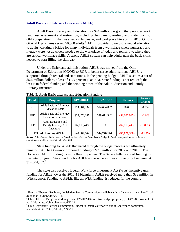#### **Adult Basic and Literacy Education (ABLE)**

Adult Basic Literacy and Education is a \$44 million program that provides work readiness assessment and instruction, including: basic math, reading, and writing skills; GED preparation; English as a second language; and workplace literacy. In 2010, Ohio's 66 ABLE programs served 50,000 adults.<sup>[3](#page-8-0)</sup> ABLE provides low-cost remedial education to adults, creating a bridge for many individuals from a workplace where numeracy and literacy were not as widely needed to the workplace of today and tomorrow, where they are critical workplace skills. A strong ABLE system can help adults gain the basic skills needed to start filling the skill gap.

Under the Strickland administration, ABLE was moved from the Ohio Department of Education (ODOE) to BOR to better serve adult learners. ABLE is supported through federal and state funds. In the pending budget, ABLE sustains a cut of \$5.6 million dollars, a loss of 11.3 percent (Table 3). State funding is not reduced; the loss is in federal funding and the winding down of the Adult Education and Family Literacy Incentive.

| <b>Fund</b> | <b>Program</b>                                                 | <b>SFY2010-11</b> | <b>SFY2012-13</b> | <b>Difference</b> | <b>Percent</b><br><b>Change</b> |
|-------------|----------------------------------------------------------------|-------------------|-------------------|-------------------|---------------------------------|
| <b>GRF</b>  | <b>Adult Basic and Literacy</b><br><b>Education-State</b>      | \$14,604,832      | \$14,604,832      | \$0.00            | $0.0\%$                         |
| <b>FED</b>  | <b>Adult Basic and Literacy</b><br><b>Education - Federal</b>  | \$32,478,287      | \$29,671,342      | $(\$2,806,945)$   | $-8.6\%$                        |
| <b>FED</b>  | <b>Adult Education and</b><br>Family Literacy Act<br>Incentive | \$2,819,443       | \$0               | $(\$2,819,443)$   | $-100.0\%$                      |
|             | \$49,902,562<br><b>TOTAL Funding ABLE</b>                      |                   | \$44,276,174      | $(\$5,626,388)$   | $-11.3%$                        |

Table 3: Adult Basic Literacy and Education Funding

**Source:** Policy Matters Ohio, based on Ohio Legislative Service Commission, Budget in Detail, as reported out of conference committee, available at http://bit.ly/l6bv7J; 6/30/11

State funding for ABLE fluctuated through the budget process but ultimately remains flat. The Governor proposed funding of \$7.3 million for 2012 and 2013.<sup>[4](#page-8-1)</sup> The House cut ABLE funding by more than 15 percent. The Senate fully restored funding to this vital program. State funding for ABLE is the same as it was in the prior biennium at  $$14,604,832.^5$  $$14,604,832.^5$ 

The state also receives federal Workforce Investment Act (WIA) incentive grant funding for ABLE. Over the 2010-11 biennium, ABLE received more than \$32 million in WIA support. Funding to ABLE, like all WIA funding, is reduced for the coming

<span id="page-8-0"></span><sup>&</sup>lt;sup>3</sup> Board of Regents Redbook, Legislative Service Commission, available at http://www.lsc.state.oh.us/fiscal /redbooks129/bor.pdf; 6/21/11.

<span id="page-8-1"></span><sup>4</sup> Ohio Office of Budget and Management, FY2012-13 executive budget proposal, p. D-479-80, available at available at http://obm.ohio.gov/; 6/22/11.

<span id="page-8-2"></span><sup>&</sup>lt;sup>5</sup> Ohio Legislative Service Commission, Budget in Detail, as reported out of Conference committee, available at http://bit.ly/l6bv7J; 6/30/11.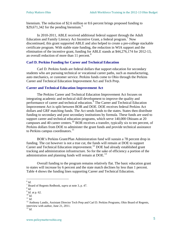biennium. The reduction of \$2.6 million or 8.6 percent brings proposed funding to \$29,[6](#page-9-0)71,342 for the pending biennium.<sup>6</sup>

In 2010-2011, ABLE received additional federal support through the Adult Education and Family Literacy Act Incentive Grant, a federal program.<sup>[7](#page-9-1)</sup> Now discontinued, this grant supported ABLE and also helped to create a pre-college stackable certificate program. With stable state funding, the reduction in WIA support and the elimination of the incentive grant, funding for ABLE stands at \$44,276,174 for 2012-13, an overall reduction of more than 11 percent.<sup>[8](#page-9-2)</sup>

#### **Carl D. Perkins Funding for Career and Technical Education**

Carl D. Perkins funds are federal dollars that support education for secondary students who are pursuing technical or vocational career paths, such as manufacturing, auto mechanics, or customer service. Perkins funds come to Ohio through the Perkins Career and Technical Education Improvement Act and Tech Prep.

#### **Career and Technical Education Improvement Act**

The Perkins Career and Technical Education Improvement Act focuses on integrating academic and technical skill development to improve the quality and performance of career and technical education.<sup>[9](#page-9-3)</sup> The Career and Technical Education Improvement Act is split between BOR and DOE. DOE receives federal Perkins Act dollars and GRF matching funds. The Act sends funds to the states. States then distribute funding to secondary and post secondary institutions by formula. These funds are used to support career and technical education programs, which serve 140,000 Ohioans at 20 campuses and 40 career centers.<sup>[10](#page-9-4)</sup> BOR receives a transfer, typically six to ten percent, of Perkins dollars from DOE to administer the grant funds and provide technical assistance to Perkins campus coordinators. $^{11}$  $^{11}$  $^{11}$ 

BOR's Perkins Grant/Plan Administration fund will sustain a 78 percent drop in funding. The cut however is not a true cut, the funds will remain at DOE to support Career and Technical Education improvement.<sup>[12](#page-9-6)</sup> DOE had already established grant tracking and administration infrastructure. So for the sake of efficiency a portion of the administration and planning funds will remain at  $DOE<sup>13</sup>$  $DOE<sup>13</sup>$  $DOE<sup>13</sup>$ .

Table 4 shows the funding line s supporting Career and Technical Education. Overall funding to the program remains relatively flat. The basic education grant to states will increase by 6 percent and the state match declines by less than 1 percent.

  $^6$  *Id.* 

<span id="page-9-1"></span><span id="page-9-0"></span> $\binom{8}{8}$  Board of Regents Redbook, *supra* at note 3, p. 47.<br>  $\binom{8}{1}$ *Id.* at p. 62.

<span id="page-9-2"></span>

<span id="page-9-4"></span>

<span id="page-9-6"></span><span id="page-9-5"></span>

<span id="page-9-3"></span><sup>&</sup>lt;sup>9</sup> *Id.* at p. 62.<br><sup>10</sup> *Id.*<br><sup>11</sup> *Id.* 24 Anthony Landis, Assistant Director Tech Prep and Carl D. Perkins Programs, Ohio Board of Regents, interview with author, June 21, 2011.<br><sup>13</sup> *Id.* 

<span id="page-9-7"></span>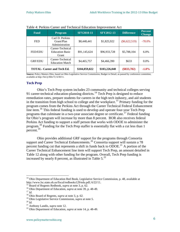| <b>Fund</b>                       | <b>Program</b>                                      | <b>SFY2010-11</b> | <b>SFY2012-13</b> | <b>Difference</b> | <b>Percent</b><br><b>Change</b> |
|-----------------------------------|-----------------------------------------------------|-------------------|-------------------|-------------------|---------------------------------|
| <b>FED</b>                        | Carl D. Perkins<br>Grant/Plan<br>Administration     | \$8,448,441       | \$1,825,922       | $(\$6,622,519)$   | $-78.0\%$                       |
| <b>FED/EDU</b>                    | Career-Technical<br><b>Education Basic</b><br>Grant | \$91,145,624      | \$96,933,728      | \$5,788,104       | $6.0\%$                         |
| <b>GRF/EDU</b>                    | Career-Technical<br><b>Education Match</b>          | \$4,465,757       | \$4,466,390       | \$633             | $0.0\%$                         |
| <b>TOTAL- Career and Tech Ed.</b> |                                                     | \$104,059,822     | \$103,226,040     | $(\$833,782)$     | $-1.0%$                         |

Table 4: Perkins Career and Technical Education Improvement Act

**Source:** Policy Matters Ohio, based on Ohio Legislative Service Commission, Budget in Detail, as passed by conference committee, available at http://bit.ly/l6bv7J; 6/30/11.

#### **Tech Prep**

Ohio's Tech Prep system includes 23 community and technical colleges serving 91 career-technical education-planning districts.<sup>[14](#page-10-0)</sup> Tech Prep is designed to reduce remediation rates, prepare students for careers in the high tech industry, and aid students in the transition from high school to college and the workplace.<sup>[15](#page-10-1)</sup> Primary funding for the program comes from the Perkins Act through the Career Technical Federal Enhancement line item.[16](#page-10-2) This federal funding is used to develop and operate four-year Tech Prep programs that culminate in a two-year associate degree or certificate.<sup>[17](#page-10-3)</sup> Federal funding for Ohio's program will increase by more than 8 percent. BOR also receives federal Perkins Act funding to support a staff person that works with ODOE to administer the program.<sup>[18](#page-10-4)</sup> Funding for the Tech Prep staffer is essentially flat with a cut less than 1 percent.<sup>[19](#page-10-5)</sup>

Ohio provides additional GRF support for the programs through Consortia support and Career Technical Enhancements.<sup>[20](#page-10-6)</sup> Consortia support will sustain a 78 percent funding cut that represents a shift in funds back to  $\overrightarrow{ODOE}^{21}$  $\overrightarrow{ODOE}^{21}$  $\overrightarrow{ODOE}^{21}$  A portion of the Career Technical Enhancement line item will support Tech Prep, an amount detailed in Table 12 along with other funding for the program. Overall, Tech Prep funding is increased by nearly 8 percent, as illustrated in Table  $5.^{22}$  $5.^{22}$  $5.^{22}$ .

<span id="page-10-0"></span><sup>&</sup>lt;sup>14</sup> Ohio Department of Education Red Book, Legislative Service Commission, p. 48, available at http://www.lsc.state.oh.us/fiscal/redbooks129/edu.pdf;  $6/22/11$ .

<span id="page-10-2"></span><span id="page-10-1"></span><sup>&</sup>lt;sup>15</sup> Board of Regents Redbook, *supra* at note 3, p. 62.<br><sup>16</sup> Ohio Department of Education, *supra* at note 39, p. 48-49.<br><sup>17</sup> Id.<sup>18</sup> Ohio Board of Regents, *supra* at note 3, p. 62.

<span id="page-10-3"></span>

<span id="page-10-5"></span><span id="page-10-4"></span><sup>&</sup>lt;sup>19</sup> Ohio Legislative Service Commission, *supra* at note 5.<br><sup>21</sup> *Id.* <sup>21</sup> Anthony Landis, *supra* note 12. <sup>22</sup> Ohio Department of Education, *supra* at note 14, p. 48-49.

<span id="page-10-6"></span>

<span id="page-10-7"></span>

<span id="page-10-8"></span>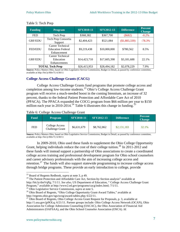| <b>Funding</b> | <b>Program</b>                                              | <b>SFY2010-11</b>                         | <b>SFY2012-13</b><br><b>Difference</b> |             | <b>Percent</b><br><b>Change</b> |
|----------------|-------------------------------------------------------------|-------------------------------------------|----------------------------------------|-------------|---------------------------------|
| <b>FED</b>     | Tech Prep                                                   | \$368,382                                 | \$367,700                              | $(\$682)$   | $-0.2\%$                        |
| <b>GRF/EDU</b> | Tech Prep Consortia<br>Support                              | (\$1,883,339)<br>\$2,404,423<br>\$521,084 |                                        | $-78.3%$    |                                 |
| <b>FED/EDU</b> | Career Technical<br><b>Education Federal</b><br>Enhancement | \$9,219,438                               | \$10,000,000                           | \$780,562   | 8.5%                            |
| <b>GRF/EDU</b> | Career Technical<br>Education<br><b>Enhancements</b>        | \$14,423,710                              | \$17,605,398                           | \$3,181,688 | 22.1%                           |
|                | <b>TOTAL Tech Prep</b>                                      | \$26,415,953                              | \$28,494,182                           | \$2,078,229 | 7.9%                            |

#### Table 5: Tech Prep

**Source:** Policy Matters Ohio, based on Ohio Legislative Service Commission, Budget in Detail, as passed by conference committee, available at http://bit.ly/l6bv7J; 6/30/11

#### **College Access Challenge Grants (CACG)**

College Access Challenge Grants fund programs that promote college access and completion among low-income students.[23](#page-11-0) Ohio's College Access Challenge Grant program will receive a much-needed boost in the coming biennium, an increase of 32 percent, thanks to the federal Patient Protection and Affordable Care Act of 2010 (PPACA). The PPACA expanded the COCG program from \$66 million per year to \$150 million each year in 2010-2014.<sup>[24](#page-11-1)</sup> Table 6 illustrates this change in funding.<sup>[25](#page-11-2)</sup>

#### Table 6: College Access Challenge Grant

| Fund | <b>Program</b>                           | <b>SFY2010-11</b> | <b>SFY2012-13</b> | <b>Difference</b> | <b>Percent</b><br><b>Change</b> |
|------|------------------------------------------|-------------------|-------------------|-------------------|---------------------------------|
| FED  | College Access<br><b>Challenge Grant</b> | \$6,631,679       | \$8,762,862       | \$2,131,183       | 32.1%                           |

**Source:** Policy Matters Ohio, based on Ohio Legislative Service Commission, Budget in Detail, as passed by conference committee, available at http://bit.ly/l6bv7J; 6/30/11

In 2009-2010, Ohio used these funds to supplement the Ohio College Opportunity Grant, helping individuals reduce the cost of their college tuition.<sup>[26](#page-11-3)</sup> In 2011-2012 and these funds will instead support a partnership of Ohio associations to create a coordinated college access training and professional development program for Ohio school counselors and career advisory professionals with the aim of increasing college access and retention.<sup>27</sup> The funds will also support statewide programming to increase college access through bridge programs. These provide an early introduction to college, provide

<span id="page-11-1"></span><span id="page-11-0"></span><sup>&</sup>lt;sup>23</sup> Board of Regents Redbook, *supra* at note 3, p 49.<br><sup>24</sup> The Patient Protection and Affordable Care Act, Section-by-Section analysis" available at http://bit.ly/dmVqPg; 7/1/11. *See also,* US Department of Education, " College Access Challenge Grant Program," available at http://www2.ed.gov/programs/cacg/index.html; 7/1/11.<br><sup>25</sup> Ohio Legislative Service Commission, *supra* at note 5.<br><sup>26</sup> Ohio Board of Regents, "Ohio College Opportunity Grant-Award Tables," available

<span id="page-11-3"></span><span id="page-11-2"></span>http://regents.ohio.gov/sgs/ocog/award-tables.php; 6/22/11.

<span id="page-11-4"></span> $27$  Ohio Board of Regents, Ohio College Access Grant Request for Proposals, p. 3, available at http://1.usa.gov/jp9OLq; 6/21/11. Partner groups include: Ohio College Access Network (OCAN), Ohio Association for College Admissions Counseling (OACAC), the Ohio Association of Financial Aid Administrators (OAFSAA), and the Ohio School Counselor Association (OSCA). *Id.*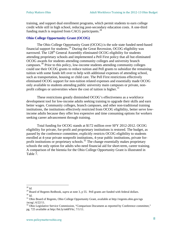training, and support dual enrollment programs, which permit students to earn college credit while still in high school, reducing post-secondary education costs. A one-third funding match is required from CACG participants.<sup>[28](#page-11-4)</sup>

#### **Ohio College Opportunity Grant (OCOG)**

The Ohio College Opportunity Grant (OCOG) is the sole state funded need-based financial support for students.[29](#page-12-0) During the Great Recession, OCOG eligibility was narrowed. The 128<sup>th</sup> General Assembly eliminated OCOG eligibility for students attending proprietary schools and implemented a Pell First policy that all but eliminated OCOG awards for students attending community colleges and university branch campuses.[30](#page-12-1) Prior to this policy, low-income students attending community colleges could use their OCOG grants to reduce tuition and Pell grants to subsidize the remaining tuition with some funds left over to help with additional expenses of attending school, such as transportation, housing or child care. The Pell First restrictions effectively eliminated OCOG support for non-tuition related expenses and essentially made OCOG only available to students attending public university main campuses or private, non-profit colleges or universities where the cost of tuition is higher.<sup>[31](#page-12-2)</sup>

These restrictions greatly diminished OCOG's effectiveness as a workforce development tool for low-income adults seeking training to upgrade their skills and earn better wages. Community colleges, branch campuses, and other non-traditional training institutions, the institutions effectively restricted from OCOG eligibility, better serve lowincome adults because they offer less expensive and time consuming options for workers seeking career advancement through training.

Total funding for OCOG stands at \$172 million over SFY 2012-2012. OCOG eligibility for private, for-profit and proprietary institutions is restored. The budget, as passed by the conference committee, explicitly restricts OCOG eligibility to students enrolled at 4-year private nonprofit institutions, 4-year public institutions, private for-profit institutions or proprietary schools.<sup>[32](#page-12-3)</sup> The change essentially makes proprietary schools the only option for adults who need financial aid for short-term, career training. A comparison of the biennia for the Ohio College Opportunity Grant is illustrated in Table 7.

 <sup>28</sup> *Id.* 

<span id="page-12-1"></span><span id="page-12-0"></span><sup>&</sup>lt;sup>29</sup> Board of Regents Redbook, *supra* at note 3, p 55. Pell grants are funded with federal dollars.<br><sup>30</sup> *Id.* <br><sup>31</sup> Ohio Board of Regents, Ohio College Opportunity Grant, available at http://regents.ohio.gov/sgs

<span id="page-12-2"></span><sup>/</sup>ocog/; 6/22/11.

<span id="page-12-3"></span> $32$  Ohio Legislative Service Commission, "Comparison Document as reported by Conference committee," pg. 725 available at http://bit.ly/m68Y6c; 7/1/11.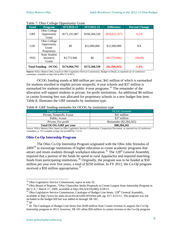| <b>Fund</b> | <b>Program</b>                                       | <b>SFY2010-11</b> | <b>SFY2012-13</b> | <b>Difference</b> | <b>Percent Change</b> |
|-------------|------------------------------------------------------|-------------------|-------------------|-------------------|-----------------------|
| <b>GRF</b>  | Ohio College<br>Opportunity<br>Grant                 | \$171,191,887     | \$160,568,530     | $(\$10,623,357)$  | $-6.2\%$              |
| <b>GSF</b>  | Ohio College<br>Opportunity<br>Grant-<br>Proprietary | \$0               | \$12,000,000      | \$12,000,000      | <b>NA</b>             |
| <b>FED</b>  | <b>State Student</b><br>Incentive<br>Grants          | \$3,772,906       | \$0               | $(\$3,772,906)$   | $-100.0\%$            |
|             | <b>Total Funding - OCOG</b>                          | \$174,964,793     | \$172,568,530     | $(\$2,396,263)$   | $-1.4%$               |

Table 7: Ohio College Opportunity Grant

**Source:** Policy Matters Ohio, based on Ohio Legislative Service Commission, Budget in Detail, as reported out of conference committee, available at http://bit.ly/l6bv7J; 6/30/11

OCOG funding stands at \$80 million per year, \$41 million of which is earmarked for students enrolled in eligible private nonprofit, 4-year schools and \$37 million is earmarked for students enrolled in public 4-year programs.<sup>[33](#page-13-0)</sup> The remainder of the allocation will support students in private, for-profit institutions. An additional \$6 million in casino licensing fees was allocated for proprietary schools in a new budget line item. Table 8, illustrates the GRF earmarks by institution type.

#### Table 8: GRF funding earmarks for OCOG by institution type

| Eligible Institution           | <b>OCOG</b> Earmark     |
|--------------------------------|-------------------------|
| Private, Nonprofit, 4-year     | \$41 million            |
| Public, 4-year                 | \$37 million            |
| Private, For-profit            | Remainder (\$2,284,265) |
| <b>Total OCOG-GRF per year</b> | \$80,284,265            |

Source: Policy Matters Ohio, based on Ohio Legislative Service Commission, Comparison Document, as reported our of conference committee, p. 725 available at http://bit.ly/m68 $\overline{Y}$ 6c; 7/1/11.

#### **Ohio Co-Op Internship Program**

The Ohio Co-Op Internship Program originated with the Ohio Jobs Stimulus of 2009[34](#page-13-1) to encourage institutions of higher education to create academic programs that attract and retain students through workplace education.<sup>[35](#page-13-2)</sup> The  $128<sup>th</sup>$  General Assembly required that a portion of the funds be spend in rural Appalachia and required matching funds from participating institutions.<sup>[36](#page-13-3)</sup> Originally, the program was to be funded at \$50 million per year over five years, a total of \$250 million. In FY 2011, the Co-Op program received a \$50 million appropriation.<sup>[37](#page-13-4)</sup>

<span id="page-13-1"></span><span id="page-13-0"></span><sup>&</sup>lt;sup>33</sup> Ohio Legislative Service Commission, *supra* at note 32.<br><sup>34</sup> Ohio Board of Regents, "Ohio Chancellor Seeks Proposals to Create Largest State Internship Program in the U.S.," March 17, 2009, available at http://bit.ly/kVbyMQ; 6/28/11.

<span id="page-13-2"></span> $35$  Ohio Legislative Service Commission, Catalogue of Budget Line Items,  $128<sup>th</sup>$  General Assembly, available at http://www.lsc.state.oh.us/fiscal/cobli/2010/bor.pdf, pg. 617; 6/21/11. The program was not included in the budget bill but was added-in through SB 181.<br><sup>36</sup> *Id.* The Catalogue of Budget Line Items lists \$100 million from Casino revenue to support the Co-Op <sup>37</sup> *Id.* The Catalogue of Budget Line Items lists \$10

<span id="page-13-4"></span><span id="page-13-3"></span>Internship program in 2011; however, SB 181 allots \$50 million in casino revenue to the Co-Op program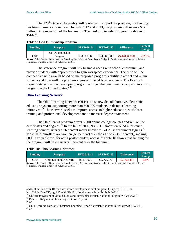The 129<sup>th</sup> General Assembly will continue to support the program, but funding has been dramatically reduced. In both 2012 and 2013, the program will receive \$12 million. A comparison of the biennia for The Co-Op Internship Program is shown in Table 9.

| Table 9: Co-Op Internship Program |
|-----------------------------------|
|-----------------------------------|

| <b>Funding</b>                                                                                                           | <b>Program</b>   | <b>SFY2010-11</b> | <b>SFY2012-13</b> | <b>Difference</b> | <b>Percent</b><br><b>Change</b> |  |  |
|--------------------------------------------------------------------------------------------------------------------------|------------------|-------------------|-------------------|-------------------|---------------------------------|--|--|
|                                                                                                                          | Co-Op Internship |                   |                   |                   |                                 |  |  |
| GSF                                                                                                                      | Program          | \$50,000,000      | \$24,000,000      | $(\$26,000,000)$  | $-52.0\%$                       |  |  |
| Course Policy Metters Obje besed on Obje Legislative Corvice Commission, Pudget in Detail, as reported out of conference |                  |                   |                   |                   |                                 |  |  |

egislative Service Commission, Budget in Detail, as reported out of content of content committee, available at http://bit.ly/l6bv7J; 6/30/11

The statewide program will link business needs with school curriculum, and provide students with opportunities to gain workplace experience. The fund will be competitive with awards based on the proposed program's ability to attract and retain students and how well the program aligns with local business needs. The Board of Regents states that the developing program will be "the preeminent co-op and internship program in the United States."[38](#page-14-0)

#### **Ohio Learning Network**

The Ohio Learning Network (OLN) is a statewide collaborative, electronic education system, supporting more than 600,000 students in distance learning initiatives. $3<sup>39</sup>$  $3<sup>39</sup>$  $3<sup>39</sup>$  The Network seeks to improve access to higher education, workforce training and professional development and to increase degree attainment.

The OhioLearns program offers 3,000 online college courses and 436 online certificates and degrees.[40](#page-14-2) In the fall of 2009, 93,653 Ohioans enrolled in distance learning courses, nearly a 26 percent increase over fall of 2008 enrollment figures.<sup>[41](#page-14-3)</sup> Most OLN enrollees are women (66 percent) over the age of 25 (51 percent), making OLN a valuable tool for adult postsecondary access.<sup>[42](#page-14-4)</sup> Table 10 shows that funding for the program will be cut nearly 7 percent over the biennium.

#### Table 10: Ohio Learning Network

| <b>Funding</b>                                                                                                                    | <b>Program</b>                                             | <b>SFY2010-11</b> | <b>SFY2012-13</b> | <b>Difference</b> | <b>Percent</b><br><b>Change</b> |  |
|-----------------------------------------------------------------------------------------------------------------------------------|------------------------------------------------------------|-------------------|-------------------|-------------------|---------------------------------|--|
| <b>GRF</b>                                                                                                                        | \$5,065,376<br>\$5,437,921<br><b>Ohio Learning Network</b> |                   |                   | (S372.545)        | -6.9%                           |  |
| <b>Source:</b> Policy Matters Ohio, based on Ohio Legislative Service Commission, Budget in Detail, as reported out of conference |                                                            |                   |                   |                   |                                 |  |

committee, available at http://bit.ly/l6bv7J; 6/30/11

<sup>&</sup>lt;u> 1989 - Andrea San Andrea San Andrea San Andrea San Andrea San Andrea San Andrea San Andrea San Andrea San An</u> and \$50 million to BOR for a workforce development pilot program. *Compare*, COLBI at http://bit.ly/iVuvTD, pg. 617 with SB 181, fiscal notes at http://bit.ly/ivOz8U.

<span id="page-14-1"></span><span id="page-14-0"></span><sup>&</sup>lt;sup>38</sup> University System of Ohio, Co-ops and Internships available at http://bit.ly/iufXVw; 6/22/11.<br><sup>39</sup> Board of Regents Redbook, *supra* at note 3, p. 64

<span id="page-14-3"></span>

<span id="page-14-2"></span><sup>&</sup>lt;sup>40</sup> Id.<br><sup>41</sup> Ohio Learning Network, "Distance Learning Report," available at http://bit.ly/lqJmAQ; 6/22/11.<br><sup>42</sup> Id.

<span id="page-14-4"></span>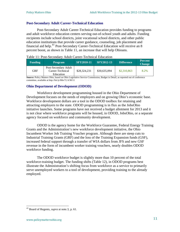#### **Post-Secondary Adult Career-Technical Education**

Post-Secondary Adult Career-Technical Education provides funding to programs and adult workforce education centers serving out-of-school youth and adults. Funding recipients include school districts, joint vocational school districts, and other public education institutions that provide career guidance, counseling, job placement and financial aid help.[43](#page-15-0) Post-Secondary Career-Technical Education will receive an 8 percent boost, as shown in Table 11, an increase that will help Ohioans.

| <b>Funding</b> | <b>Program</b>                                        | <b>SFY2010-11</b> | <b>SFY2012-13</b> | <b>Difference</b> | <b>Percent</b><br><b>Change</b> |
|----------------|-------------------------------------------------------|-------------------|-------------------|-------------------|---------------------------------|
| <b>GRF</b>     | Post-Secondary Adult<br>Career-Technical<br>Education | \$28,324,231      | \$30,635,094      | \$2,310,863       | 8.2%                            |

**Source:** Policy Matters Ohio, based on Ohio Legislative Service Commission, Budget in Detail, as reported out of conference committee, available at http://bit.ly/l6bv7J; 6/30/11

#### **Ohio Department of Development (ODOD)**

Workforce development programming housed in the Ohio Department of Development focuses on the needs of employers and on growing Ohio's economic base. Workforce development dollars are a tool in the ODOD toolbox for retaining and attracting employers to the state. ODOD programming is in flux as the JobsOhio initiative launches. Some programs have not received a budget allotment for 2013 and it is not clear where workforce programs will be housed, in ODOD, JobsOhio, or a separate agency focused on workforce and community development.

ODOD is the agency home for the Workforce Guarantee, Federal Energy Training Grants and the Administration's new workforce development initiative, the Ohio Incumbent Worker Job Training Voucher program. Although there are steep cuts to Industrial Training Grants (GRF) and the loss of the Training Expansion funds (GSF), increased federal support through a transfer of WIA dollars from JFS and new GSF revenue in the form of incumbent worker training vouchers, nearly doubles ODOD workforce funding.

The ODOD workforce budget is slightly more than 10 percent of the total workforce-training budget. The funding shifts (Table 12), in ODOD programs best illustrate the Administration's shifting focus from workforce as a service to primarily serve unemployed workers to a tool of development, providing training to the already employed.

<span id="page-15-0"></span><sup>43</sup> Board of Regents, *supra* at note*.*3, p. 61.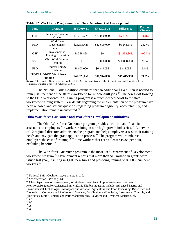| <b>Fund</b>                                     | <b>SFY2010-11</b><br><b>SFY2012-13</b><br>Program |                              | <b>Difference</b> | <b>Percent</b><br><b>Change</b> |            |
|-------------------------------------------------|---------------------------------------------------|------------------------------|-------------------|---------------------------------|------------|
| <b>GRF</b>                                      | <b>Industrial Training</b><br>Grants              | \$15,812,773<br>\$10,000,000 |                   | $(\$5,812,773)$                 | $-36.8%$   |
| <b>FED</b>                                      | Workforce<br>Development<br><b>Initiatives</b>    | \$26,356,425                 | \$32,600,000      | \$6,243,575                     | 23.7%      |
| <b>GSF</b>                                      | Investment in<br><b>Training Expansion</b>        | \$1,358,868                  | \$0               | (\$1,358,868)                   | $-100.0\%$ |
| <b>SSR</b>                                      | Ohio Workforce Job<br>Training                    | \$0                          | \$50,000,000      | \$50,000,000                    | <b>NEW</b> |
| <b>Federal Energy</b><br><b>FED</b><br>Training |                                                   | \$6,000,000                  | \$6,344,056       | \$344,056                       | 6.0%       |
| <b>TOTAL ODOD Workforce</b><br><b>Funding</b>   |                                                   | \$49,528,066                 | \$98,944,056      | \$49,415,990                    | 99.8%      |

**Source:** Policy Matters Ohio, based on Ohio Legislative Service Commission, Budget in Detail, as reported out of conference committee, available at http://bit.ly/l6bv7J; 6/30/11.

The National Skills Coalition estimates that an additional \$1.4 billion is needed to train just 5 percent of the state's workforce for middle-skill jobs.<sup>[44](#page-16-0)</sup> The new GSR flowing to the Ohio Workforce Job Training program is a much-needed boost to the state workforce training system. Few details regarding the implementation of the program have been released and serious questions regarding program eligibility, accountability, and implementation remain unanswered.<sup>[45](#page-16-1)</sup>

#### **Ohio Workforce Guarantee and Workforce Development Initiatives**

 The Ohio Workforce Guarantee program provides technical and financial assistance to employers for worker training in nine high-growth industries.<sup>[46](#page-16-2)</sup> A network of 12 regional directors administers the program and helps employers assess their training needs and navigate the grant application process.<sup> $47$ </sup> The program will reimburse employers the cost of training full-time workers that earn at least \$10.88 per hour, excluding benefits.<sup>[48](#page-16-4)</sup>

The Workforce Guarantee program is the most used Department of Development workforce program.<sup>[49](#page-16-5)</sup> Development reports that more than \$13 million in grants were issued last year, resulting in 1,600 new hires and providing training to 8,300 incumbent workers.<sup>50</sup>

<span id="page-16-5"></span><span id="page-16-4"></span>49*Id*. 50*Id.*

<span id="page-16-2"></span>

<span id="page-16-1"></span><span id="page-16-0"></span><sup>&</sup>lt;sup>44</sup> National Skills Coalition, *supra* at note 1, p. 2.<br><sup>45</sup> *See* discussion, *infra* at p. 13.<br><sup>46</sup> Ohio Department of Development, Workplace Guarantee at http://development.ohio.gov /workforce/RequestForAssistance.htm; 6/22/11. Eligible industries include: Advanced Energy and Environmental Technologies, Aerospace and Aviation, Agriculture and Food Processing, Bioscience and Bioproducts, Corporate and Professional Services, Distribution and Logistics, Instruments, Controls, and Electronics, Motor Vehicles and Parts Manufacturing, Polymers and Advanced Materials. *Id.* <sup>47</sup> *Id.* 48 *Id.* 

<span id="page-16-3"></span>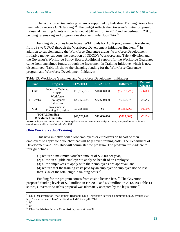The Workforce Guarantee program is supported by Industrial Training Grants line item, which receive GRF funding.<sup>[51](#page-17-0)</sup> The budget reflects the Governor's initial proposal; Industrial Training Grants will be funded at \$10 million in 2012 and zeroed-out in 2013, pending rulemaking and program development under JobsOhio.<sup>[52](#page-17-1)</sup>

Funding also comes from federal WIA funds for Adult programming transferred from JFS to ODOD through the Workforce Development Initiatives line item.<sup>[53](#page-17-2)</sup> In addition to supplementing the Workforce Guarantee grants, Workforce Development Initiative money supports the operation of ODOD's Workforce and Talent division and the Governor's Workforce Policy Board. Additional support for the Workforce Guarantee came from unclaimed funds, through the Investment in Training Initiative, which is now discontinued. Table 13 shows the changing funding for the Workforce Guarantee program and Workforce Development Initiatives.

| <b>Fund</b>                                         | <b>Program</b>                              | <b>SFY2010-11</b> | <b>SFY2012-13</b> | <b>Difference</b> | <b>Percent</b><br><b>Change</b> |
|-----------------------------------------------------|---------------------------------------------|-------------------|-------------------|-------------------|---------------------------------|
| <b>GRF</b>                                          | <b>Industrial Training</b><br><b>Grants</b> | \$15,812,773      | \$10,000,000      | $(\$5,812,773)$   | $-36.8%$                        |
| <b>FED/WIA</b>                                      | Workforce<br>Development<br>Initiatives     | \$26,356,425      | \$32,600,000      | \$6,243,575       | 23.7%                           |
| <b>GSF</b>                                          | Investment in<br><b>Training Expansion</b>  | \$1,358,868       | \$0               | (\$1,358,868)     | $-100.0\%$                      |
| <b>TOTAL Funding-</b><br><b>Workforce Guarantee</b> |                                             | \$43,528,066      | \$42,600,000      | $(\$928,066)$     | $-2.1\%$                        |

#### Table 13: Workforce Guarantee and Workforce Development Initiatives

**Source:** Policy Matters Ohio, based on Ohio Legislative Service Commission, Budget in Detail, as reported out of conference committee, available at http://bit.ly/l6bv7J; 6/30/11.

#### **Ohio Workforce Job Training**

This new initiative will allow employees or employers on behalf of their employees to apply for a voucher that will help cover training costs. The Department of Development and JobsOhio will administer the program. The program must adhere to four guidelines:

(1) require a maximum voucher amount of \$6,000 per year,

(2) allow an eligible employer to apply on behalf of an employee,

(3) allow employees to apply with their employer's pre-approval, and

(4) require that the training costs paid by an employer or employee not be less than 33% of the total eligible training costs.<sup>[54](#page-17-3)</sup>

<span id="page-17-5"></span><span id="page-17-4"></span>Funding for the program comes from casino license fees.<sup>[55](#page-17-4)</sup> The Governor proposed funding levels of \$20 million in FY 2012 and \$30 million in 2013. As Table 14 shows, Governor Kasich's proposal was ultimately accepted by the legislature.<sup>[56](#page-17-5)</sup>

<span id="page-17-0"></span><sup>&</sup>lt;sup>51</sup> Ohio Department of Development Redbook, Ohio Legislative Service Commission, p. 22 available at http://www.lsc.state.oh.us/fiscal/redbooks129/dev.pdf; 7/1/11.<br><sup>52</sup> *Id.* <sup>53</sup> *Id.* <sup>54</sup> Ohio Legislative Service Commission, *supra* at note 32.

<span id="page-17-2"></span><span id="page-17-1"></span>

<span id="page-17-3"></span>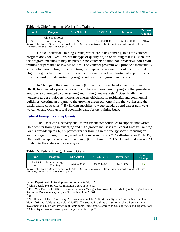| Fund | <b>Program</b>                        | <b>SFY2010-11</b> | <b>SFY2012-13</b> | <b>Difference</b> | <b>Percent</b><br><b>Change</b> |
|------|---------------------------------------|-------------------|-------------------|-------------------|---------------------------------|
| SSR  | Ohio Workforce<br><b>Job Training</b> | \$0               | \$50,000,000      | \$50,000,000      | NEW                             |

#### Table 14: Ohio Incumbent Worker Job Training

**Source:** Policy Matters Ohio, based on Ohio Legislative Service Commission, Budget in Detail, as reported out of conference committee, available at http://bit.ly/l6bv7J; 6/30/11.

Unlike Industrial Training Grants, which are losing funding, this new voucher program does not – yet – restrict the type or quality of job or training that is eligible for the program, meaning it may be possible for vouchers to fund non-credential, non-credit, training for part-time or low-wage jobs. The voucher program will provide a tremendous subsidy to participating firms. In return, the taxpayer investment should be protected by eligibility guidelines that prioritize companies that provide well-articulated pathways to full-time work, family sustaining wages and benefits in growth industries.

In Michigan, the training agency (Human Resource Development Institute or HRDI) has created a proposal for an incumbent worker-training program that prioritizes employers committed to diversifying and finding new markets.<sup>[57](#page-18-0)</sup> Specifically, the vouchers target employers increasing energy efficiency in residential and commercial buildings, creating an onramp to the growing green economy from the worker and the participating contractor.<sup>[58](#page-18-1)</sup> By linking subsidies to wage standards and career pathways we can ensure Ohio gets real economic bang for the training buck.

#### **Federal Energy Training Grants**

The American Recovery and Reinvestment Act continues to support innovative Ohio worker training in emerging and high-growth industries.<sup>[59](#page-18-2)</sup> Federal Energy Training Grants provide up to \$6,000 per worker for training in the energy sector, focusing on green energy training in solar, wind and biomass industries.<sup>[60](#page-18-3)</sup> As illustrated in Table 15, Ohio will use up the balance of the grant, \$6.3 million, in 2012-13,winding down ARRA funding to the state's workforce system.

| Fund    | <b>Program</b>                           | <b>SFY2010-11</b> | <b>SFY2012-13</b> | <b>Difference</b> | <b>Percent</b><br><b>Change</b> |
|---------|------------------------------------------|-------------------|-------------------|-------------------|---------------------------------|
| FED/ARR | <b>Federal Energy</b><br><b>Training</b> | \$6,000,000       | \$6,344,056       | \$344,056         | 6%                              |

#### Table 15: Federal Energy Training Grants

**Source:** Policy Matters Ohio, based on Ohio Legislative Service Commission, Budget in Detail, as reported out of conference committee, available at http://bit.ly/l6bv7J; 6/30/11.

<u> 1989 - Andrea San Andrea San Andrea San Andrea San Andrea San Andrea San Andrea San Andrea San Andrea San An</u>

<span id="page-18-2"></span><sup>59</sup> *See* Hannah Halbert, "Recovery Act Investment in Ohio's Workforce System," Policy Matters Ohio, March 2011 available at http://bit.ly/j9d6Vb. The second in a three part series tracking Recovery Act investment in Ohio's workforce, highlights competitive grants awarded to Ohio agencies and organizations. <sup>60</sup> Ohio Department of Development, *supra* at note 51, p. 23.

<span id="page-18-0"></span>

<sup>&</sup>lt;sup>55</sup>Ohio Department of Development, *supra* at note 51, p. 23.<br><sup>56</sup> Ohio Legislative Service Commission, *supra* at note 32.<br><sup>57</sup> Erin Von Tom, CDF, CBSP, Business Services-Manager-Northwest Lower Michigan, Michigan Human Resources Development, Inc., email to author, June 7, 2011.

<span id="page-18-1"></span><sup>58</sup> *Id.* 

<span id="page-18-3"></span>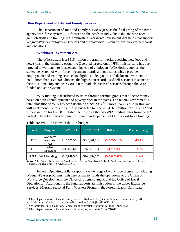#### **Ohio Department of Jobs and Family Services**

 The Department of Jobs and Family Services (JFS) is the final prong of the threeagency workforce system. JFS focuses on the needs of individual Ohioans who need to gain job skills and training. JFS administers Workforce Investment Act funds that support Wagner-Peyser employment services and the statewide system of local workforce boards and one-stops.

#### **Workforce Investment Act**

The WIA system is a \$515 million program for workers seeking new jobs and new skills in the changing economy. Operated largely out of JFS, it historically has been targeted to workers – to jobseekers – instead of employers. WIA dollars support the statewide system of workforce investment boards and one-stops which provide employment and training services to eligible adults, youth, and dislocated workers. In 2010, more than 430,000 Ohioans, the highest on record, used self-service assistance at their local one-stop and nearly 80,000 individuals received services through the WIA funded one-stop system. $61$ 

WIA funding is distributed to states through formula grants that allocate money based on both unemployment and poverty rates in the states. The federal government's total allocation to WIA has been declining since  $2004$ .<sup>[62](#page-19-1)</sup> Ohio's share is also in flux and will likely continue to shrink. JFS is budgeted to receive \$176.5 million for FY 2012 and \$172.8 million for FY 2013. Table 16 illustrates the two WIA funding lines from the JFS budget. These two lines account for more than 46 percent of Ohio's workforce funding.

| <b>Fund</b> | <b>Program</b>                 | <b>SFY2010-11</b> | <b>SFY2012-13</b> | <b>Difference</b> | <b>Percent Change</b> |
|-------------|--------------------------------|-------------------|-------------------|-------------------|-----------------------|
| <b>FED</b>  | Workforce<br>Investment<br>Act | \$415,026,944     | \$349,301,812     | $(\$65,725,132)$  | $-15.9\%$             |
| <b>FED</b>  | Federal<br>Operating           | \$100,613,647     | \$97,331,163      | $(\$3,282,484)$   | $-3.3\%$              |
|             | <b>TOTAL WIA Funding</b>       | \$515,640,592     | \$446,632,975     | $(\$69,007,617)$  | $-13.4%$              |

Table 16: WIA line items in the JFS budget

**Source:** Policy Matters Ohio, based on Ohio Legislative Service Commission, Budget in Detail, as reported out of conference committee, available at http://bit.ly/l6bv7J; 6/30/11.

Federal Operating dollars support a wide range of workforce programs, including Wagner-Peyser programs. This line primarily funds the operations of the Office of Workforce Development, the Office of Unemployment, and the Office of Local Operations.<sup>[63](#page-19-2)</sup> Additionally, the fund supports administration of the Labor Exchange Services, Migrant Seasonal Farm Workers Program, the Foreign Labor Certificate

<span id="page-19-0"></span><sup>&</sup>lt;sup>61</sup> Ohio Department of Jobs and Family Services Redbook, Legislative Service Commission, p. 209, available at http://www.lsc.state.oh.us/fiscal/redbooks129/jfs.pdf; 6/22/11.

<span id="page-19-2"></span><span id="page-19-1"></span><sup>62</sup> *See* National Skills Coalition, Federal Budget, available at http://bit.ly/kjLZuz; 6/22/11. 63 Ohio Department of Jobs and Family Services, *supra* at note 61, p. 210-12.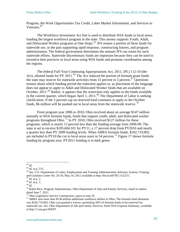Program, the Work Opportunities Tax Credit, Labor Market Information, and Services to Veterans.<sup>[64](#page-20-0)</sup>

The Workforce Investment Act line is used to distribute WIA funds to local areas, funding the largest workforce program in the state. This money supports Youth, Adult, and Dislocated Worker programs at One-Stops.<sup>[65](#page-20-1)</sup> JFS retains a portion of these funds for statewide use, in the past supporting rapid response, constructing futures, and program administration. The federal government determines the amount JFS can retain for such statewide efforts. Statewide discretionary funds are important because they can be used to incentive best practices in local areas using WIA funds and promote coordination among the regions.

The federal Full-Year Continuing Appropriations Act, 2011, (PL) 112-10 (the Act), allotted funds for PY 2011.<sup>[66](#page-20-2)</sup> The Act reduced the portion of formula grant funds the state may reserve for statewide activities from 15 percent to 5 percent.<sup>[67](#page-20-3)</sup> Ouestions remain about which funding period the reduction applies to, as placement of the language does not appear to apply to Adult and Dislocated Worker funds that are available on October, 2011.<sup>[68](#page-20-4)</sup> Rather, it appears that the restriction only applies to the funds available in the current quarter, which began April 1, 2011.<sup>[69](#page-20-5)</sup> The Department of Labor is seeking clarification. If the 5 percent cap on reserved fund continues to apply to the October funds, \$6 million will be pushed out to local areas from the statewide reserve.<sup>[70](#page-20-6)</sup>

From program year 2006 to 2010, Ohio received about an average \$147 million annually in WIA formula funds, funds that support youth, adult, and dislocated worker programs throughout Ohio.<sup>[71](#page-20-7)</sup> In PY 2010, Ohio received \$127 million for these programs, which is nearly 13 percent less than the funding average from 2006-09. The state is set to receive \$105,604,101 for PY11, a 17 percent drop from PY2010 and nearly a quarter less than PY 2009 funding levels. When ARRA formula funds, \$102,719,902, are included in PY10 the cut to local areas soars to 54 percent.<sup>[72](#page-20-8)</sup> Figure 17 shows formula funding by program year. PY2011 funding is in dark green.

<span id="page-20-2"></span>

<span id="page-20-1"></span><span id="page-20-0"></span><sup>64</sup> *Id.* <sup>65</sup> *Id.* at p. 213. 66 *See,* U.S. Department of Labor, Employment and Training Administration Advisory System, Training and Guidance Letter No. 26-10, May 10, 2011 available at http://bit.ly/m67fk7; 6/22/11. <sup>67</sup> *Id.* at p. 2.

<span id="page-20-5"></span><span id="page-20-4"></span><span id="page-20-3"></span>*<sup>68</sup> Id. at p. 2.*<br><sup>68</sup> *Id.* at p. 3.<br><sup>69</sup> *Id. N* Robin Rice, Program Administrator, Ohio Department of Jobs and Family Services, email to author, <sup>70</sup> Robin Rice, Program Administrator, Ohio Department of Jobs and Fami dated June 7, 2011.

<span id="page-20-8"></span><span id="page-20-7"></span><span id="page-20-6"></span><sup>&</sup>lt;sup>71</sup> Ohio Legislative Service Commission, *supra* at note 35.<br><sup>72</sup> ARRA sent more than \$138 million additional workforce dollars to Ohio. The formula fund allotment was \$102,719,902. Ohio was granted a waiver, permitting 20% of formula funds to be reserved for statewide use. *See*, Ohio Department of Job and Family Services, Draft WIA Expense Summary, available at http://1.usa.gov/l6EIlT.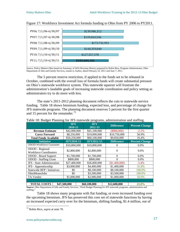

Figure 17: Workforce Investment Act formula funding to Ohio from PY 2006 to PY2011.

Source: Policy Matters Ohio based on Summary of WIA Revenue History prepared by Robin Rice, Program Administrator, Ohio Department of Jobs and Family Services, emails to Author, dated February 22, 2011 and June 7, 2011.

The 5 percent reserve restriction, if applied to the funds set to be released in October, combined with the overall loss of formula funds will create substantial pressure on Ohio's statewide workforce system. This statewide squeeze will frustrate the administration's laudable goals of increasing statewide coordination and policy setting as administrators try to do more with less.

The state's 2011-2012 planning document reflects the cuts to statewide service funding. Table 18 shows biennium funding, expected loss, and percentage of change for JFS statewide programs. The planning document reserves 5 percent for the first quarter and 15 percent for the remainder.<sup>[73](#page-21-0)</sup>

|                                                                                                                         | <b>SFY</b><br>2010-11 | <b>SFY</b><br>2012-13 | <b>Difference</b> | <b>Percent Change</b> |  |  |  |
|-------------------------------------------------------------------------------------------------------------------------|-----------------------|-----------------------|-------------------|-----------------------|--|--|--|
| <b>Revenue Estimate</b>                                                                                                 | \$42,000,000          | \$41,100,000          | $(\$900,000)$     | $-2.1%$               |  |  |  |
| <b>Carry Forward</b>                                                                                                    | \$8,250,000           | \$19,000,000          | \$10,750,000      | 56.9%                 |  |  |  |
| <b>Total Funds Available</b>                                                                                            | \$50,250,000          | \$60,100,000          | \$9,850,000       | 16.4%                 |  |  |  |
| <b>Initiative</b>                                                                                                       | <b>SFY2010-11</b>     | <b>SFY2012-13</b>     | <b>Difference</b> | <b>Percent Change</b> |  |  |  |
| ODOD-Workforce Guarantee                                                                                                | \$10,800,000          | \$10,800,000          | 0                 | $0.0\%$               |  |  |  |
| ODOD - Regional<br><b>Workforce Coordinators</b>                                                                        | \$2,800,000           | \$2,800,000           | $\Omega$          | $0.0\%$               |  |  |  |
| <b>ODOD</b> - Board Support                                                                                             | \$1,700,000           | \$1,700,000           | $\Omega$          | $0.0\%$               |  |  |  |
| <b>ODOD</b> - Staffing Grant                                                                                            | \$800,000             | \$800,000             | 0                 | $0.0\%$               |  |  |  |
| JFS - State Administration                                                                                              | \$27,400,000          | \$26,000,000          | (\$1,400,000)     | $-5.4\%$              |  |  |  |
| JFS - Apprenticeship                                                                                                    | \$3,000,000           | \$4,400,000           | \$1,400,000       | 31.8%                 |  |  |  |
| Statewide RFP / Initiatives                                                                                             | \$0                   | \$8,100,000           | \$8,100,000       | 100.0%                |  |  |  |
| <b>OhioMeansJobs</b>                                                                                                    | \$0                   | \$3,500,000           | \$3,500,000       | 100.0%                |  |  |  |
| TA Vendor                                                                                                               | \$1,000,000           | \$2,000,000           | \$1,000,000       | 50.0%                 |  |  |  |
|                                                                                                                         |                       |                       |                   |                       |  |  |  |
| <b>TOTAL COSTS</b>                                                                                                      | \$47,500,000          | \$60,100,000          | \$12,600,000      | 21.0%                 |  |  |  |
| Correor Obio Department of John and Family Comices "Dught Dudget Diaming for IEC statewide programs, administration and |                       |                       |                   |                       |  |  |  |

Table 18: Budget Planning for JFS statewide programs, administration and staffing.

**Source:** Ohio Department of Jobs and Family Services, "Draft Budget Planning for JFS statewide programs, administration and staffing."

Table 18 shows many programs with flat funding, or even increased funding over the upcoming biennium. JFS has preserved this core set of statewide functions by having an increased expected carry over for the biennium, shifting funding, \$1.4 million, out of

<span id="page-21-0"></span><sup>73</sup> Robin Rice, *supra* at note 70.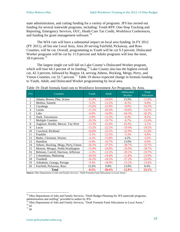state administration, and cutting funding for a variety of programs. JFS has zeroed out funding for several statewide programs, including: Youth RFP, One-Stop Tracking and Reporting, Emergency Services, OUC, Heath Care Tax Credit, Workforce Conferences, and funding for grant management software.<sup>[74](#page-22-0)</sup>

The WIA cuts will have a substantial impact on local area funding. In FY 2012 (PY 20 11), all but one Local Area, Area 20 serving Fairfield, Pickaway, and Ross Counties, will be cut. Overall, programming to Youth will be cut 9.3 percent. Dislocated Worker programs will be cut by 11.9 percent and Adults programs will lose the most, 18.4 percent.[75](#page-22-1)

The largest single cut will fall on Lake County's Dislocated Worker program, which will lose 64.3 percent of its funding.<sup>[76](#page-22-2)</sup> Lake County also has the highest overall Vinton Counties, cut 32.7 percent.<sup>[77](#page-22-3)</sup> Table 19 shows expected change in formula funding cut, 42.3 percent, followed by Region 14, serving Athens, Hocking, Meigs, Perry, and to Youth, Adult, and Dislocated Worker programming by local area.

| Area           | Counties                              | Youth    | Adult     | <b>Dislocated</b><br>Worker | Total<br>Allocation |
|----------------|---------------------------------------|----------|-----------|-----------------------------|---------------------|
| 1              | Adams, Brown, Pike, Scioto            | $-15.4%$ | $-24.0\%$ | 15.9%                       | $-11.0%$            |
| $\overline{2}$ | Medina, Summit                        | $-5.2%$  | $-15.2%$  | $-8.3%$                     | $-9.6%$             |
| 3              | Cuyahoga                              | $-15.6%$ | $-22.9%$  | $-9.0\%$                    | $-16.5%$            |
| $\overline{4}$ | Lorain                                | $-11.2%$ | $-20.4%$  | $-10.6%$                    | $-14.3%$            |
| 5              | Lake                                  | $-6.0\%$ | $-16.0%$  | $-64.3%$                    | $-42.3%$            |
| 6              | Stark, Tuscarawas                     | $-3.0%$  | $-13.2%$  | $-8.4%$                     | $-8.2\%$            |
| $\tau$         | <b>Multiple Counties</b>              | $-10.3%$ | $-19.7%$  | $-8.7%$                     | $-12.6%$            |
| 8              | Auglaize, Hardin, Mercer, Van Wert    | $-13.3%$ | $-22.4%$  | 24.3%                       | $-2.1%$             |
| 9              | Lucas                                 | $-13.2%$ | $-22.2%$  | $-19.4%$                    | $-18.2%$            |
| 10             | Crawford, Richland                    | $-16.8%$ | $-25.2%$  | $-22.9%$                    | $-21.8%$            |
| 11             | Franklin                              | $-3.1\%$ | $-12.5%$  | $-5.3%$                     | $-6.8%$             |
| 12             | Butler, Clermont, Warren              | $-4.1%$  | $-13.8%$  | 4.2%                        | $-5.0\%$            |
| 13             | Hamilton                              | $-0.4%$  | $-10.7%$  | 13.0%                       | $-0.9\%$            |
| 14             | Athens, Hocking, Meigs, Perry, Vinton | $-26.3%$ | $-37.2%$  | $-38.7%$                    | $-32.7%$            |
| 15             | Monroe, Morgan, Noble, Washington     | $-15.4%$ | $-24.0%$  | $-16.0%$                    | $-18.7%$            |
| 16             | Belmont, Carroll, Harrison, Jefferson | $-1.2%$  | $-12.1%$  | $-59.1%$                    | $-33.7%$            |
| 17             | Columbiana, Mahoning                  | $-10.3%$ | $-19.4%$  | $-11.8%$                    | $-13.9%$            |
| 18             | Trumbull                              | $-16.2%$ | $-24.3%$  | $-27.2%$                    | $-23.0%$            |
| 19             | Ashtabula, Geauga, Portage            | $-9.4%$  | $-18.9%$  | $-13.2%$                    | $-13.6%$            |
| 20             | Fairfield, Pickaway, Ross             | 12.6%    | 0.8%      | 13.0%                       | 8.4%                |
|                | <b>Total</b>                          | $-9.3%$  | $-18.4\%$ | $-11.9%$                    | $-13.1%$            |

Table 19: Draft formula fund cuts to Workforce Investment Act Programs, by Area.

Source: Ohio Department of Jobs and Family Services, "Draft Formula Fund Allocations to Local Areas."

<span id="page-22-0"></span> $74$  Ohio Department of Jobs and Family Services, "Draft Budget Planning for JFS statewide programs, administration and staffing" provided to author by JFS.

<span id="page-22-1"></span><sup>75</sup> Ohio Department of Jobs and Family Services, "Draft Formula Fund Allocations to Local Areas." <sup>76</sup> *Id.* <sup>77</sup> *Id.* 

<span id="page-22-3"></span><span id="page-22-2"></span>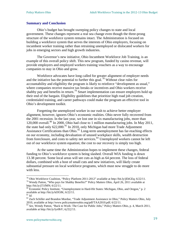#### **summary and Conclusion**

Ohio's budget has brought sweeping policy changes to state and local government. These changes represent a real sea change even though the three-prong incumbent worker training rather than retraining unemployed or dislocated workers for structure of the workforce system remains intact. The Administration is focused on building a workforce system that serves the interests of Ohio employers, focusing on jobs in emerging sectors and high growth industries.

The Governor's new initiative, Ohio Incumbent Workforce Job Training, is an exampl e of this overall policy shift. This new program, funded by casino revenue, will provide employers and employed workers training vouchers as a way to encourage companies to stay in Ohio and grow.

Workforce advocates have long called for greater alignment of employer needs and the initiative has the potential to further this goal.<sup>[78](#page-23-0)</sup> Without clear rules for accountability and eligibility the program is likely to reinforce "development as usual," shabby pay and benefits in return.<sup>[79](#page-23-1)</sup> Smart implementation can ensure employers hold up credentialed training, and career pathways could make the program an effective tool in where companies receive massive tax breaks or incentives and Ohio workers receive their end of the bargain. Eligibility guidelines that prioritize high road job creation, Ohio's development toolkit.

Forgetting the unemployed worker in our rush to achieve better employer alignment, however, ignores Ohio's economic realities. Ohio never fully recovered from 120,000 overall.<sup>[80](#page-23-2)</sup> In 2000, Ohio had close to 1 million manufacturing jobs. In May 2011, Assistance Certifications than Ohio.<sup>[82](#page-23-4)</sup> Long-term unemployment has far-reaching effects the 2001 recession. In the last year, we lost one in six manufacturing jobs, more than the state had only  $622,000$ .<sup>[81](#page-23-3)</sup> In 2010, only Michigan had more Trade Adjustment on our economy, including devaluation of unused workplace skills, wealth destruction from foreclosure, and costs to safety net services.<sup>[83](#page-23-5)</sup> Unemployed workers cannot be left out of our workforce system equation; the cost to our recovery is simply too high.

funding to Ohio's workforce system is being slashed. Overall WIA funding is down 13.38 percent. Some local areas will see cuts as high as 64 percent. The loss of federal substantial pressure on local workforce programs, which must now struggle to do more with less. At the same time the Administration hopes to implement these changes, federal dollars, combined with a host of small cuts and new initiatives, will likely create

<span id="page-23-0"></span><sup>&</sup>lt;sup>78</sup> Ohio Workforce Coalition, "Policy Platform 2011-2012" available at http://bit.ly/jEbGEq; 6/22/11.<br><sup>79</sup> Wendy Patton, "Who pays for Shabby Benefits?" Policy Matters Ohio, April 26, 2011 available at

<span id="page-23-1"></span>http://bit.ly/jT1fMN; 6/22/11.

<span id="page-23-2"></span><sup>80</sup> Economic Policy Institute, "Unemployment in Hard-Hit States: Michigan, Ohio, and Oregon," p. 2 available at http://bit.ly/kfJOJK;  $6/22/11$ .<sup>81</sup> *Id.* 

<span id="page-23-4"></span><span id="page-23-3"></span><sup>&</sup>lt;sup>82</sup> Zach Schiller and Brandon Mordue, "Trade Adjustment Assistance in Ohio," Policy Matters Ohio, July 2010, available at http://www.policymattersohio.org/pdf/TAA2010.pdf; 6/22/11.

<span id="page-23-5"></span><sup>&</sup>lt;sup>83</sup> See, Wendy Patton, "Back to Work: The Case for Public Jobs," Policy Matters Ohio, p. 4, March 2011, available at http://bit.ly/lyr0bY; 6/22/11.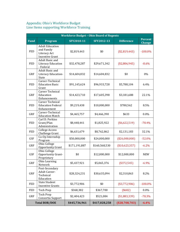#### A L ppendix: Ohio's Workforce Budget ine Items supporting Workforce Training

| <b>Workforce Budget - Ohio Board of Regents</b> |                                                                                |               |               |                   |                                 |  |  |  |  |
|-------------------------------------------------|--------------------------------------------------------------------------------|---------------|---------------|-------------------|---------------------------------|--|--|--|--|
| <b>Fund</b>                                     | Program                                                                        | SFY2010-11    | SFY2012-13    | <b>Difference</b> | <b>Percent</b><br><b>Change</b> |  |  |  |  |
| <b>FED</b>                                      | <b>Adult Education</b><br>and Family<br>Literacy Act<br><b>Incentive Grant</b> | \$2,819,443   | \$0           | (\$2,819,443)     | $-100.0\%$                      |  |  |  |  |
| <b>FED</b>                                      | Adult Basic and<br><b>Literacy Education</b><br>- Federal                      | \$32,478,287  | \$29,671,342  | (\$2,806,945)     | $-8.6%$                         |  |  |  |  |
| GRF                                             | Adult Basic and<br>Literacy Education-<br>State                                | \$14,604,832  | \$14,604,832  | \$0               | 0%                              |  |  |  |  |
| <b>FED</b>                                      | Career-Technical<br><b>Education Basic</b><br>Grant                            | \$91,145,624  | \$96,933,728  | \$5,788,104       | 6.4%                            |  |  |  |  |
| GRF                                             | <b>Career Technical</b><br>Education<br>Enhancements                           | \$14,423,710  | \$17,605,398  | \$3,181,688       | 22.1%                           |  |  |  |  |
| <b>FED</b>                                      | Career Technical<br><b>Education Federal</b><br>Enhancement                    | \$9,219,438   | \$10,000,000  | \$780,562         | 8.5%                            |  |  |  |  |
| GRF                                             | Career-Technical<br><b>Education Match</b>                                     | \$4,465,757   | \$4,466,390   | \$633             | 0.0%                            |  |  |  |  |
| <b>FED</b>                                      | Carl D. Perkins<br>Grant/Plan<br>Administration                                | \$8,448,441   | \$1,825,922   | (\$6,622,519)     | $-78.4%$                        |  |  |  |  |
| FED                                             | <b>College Access</b><br>Challenge Grant                                       | \$6,631,679   | \$8,762,862   | \$2,131,183       | 32.1%                           |  |  |  |  |
| GSF                                             | Co-Op Internship<br>Program                                                    | \$50,000,000  | \$24,000,000  | (\$26,000,000)    | $-52.0%$                        |  |  |  |  |
| GRF                                             | Ohio College<br>Opportunity Grant                                              | \$171,191,887 | \$160,568,530 | (\$10,623,357)    | $-6.2%$                         |  |  |  |  |
| GSF                                             | Ohio College<br>Opportunity Grant-<br>Proprietary                              | \$0           | \$12,000,000  | \$12,000,000      | <b>NEW</b>                      |  |  |  |  |
| GRF                                             | Ohio Learning<br>Network                                                       | \$5,437,921   | \$5,065,376   | (\$372,545)       | $-6.9%$                         |  |  |  |  |
| GRF                                             | Post-Secondary<br><b>Adult Career-</b><br>Technical<br>Education               | \$28,324,231  | \$30,635,094  | \$2,310,863       | 8.2%                            |  |  |  |  |
| FED                                             | <b>State Student</b><br><b>Incentive Grants</b>                                | \$3,772,906   | \$0           | (\$3,772,906)     | $-100.0\%$                      |  |  |  |  |
| FED                                             | Tech Prep                                                                      | \$368,382     | \$367,700     | (\$682)           | 0.0%                            |  |  |  |  |
| GRF                                             | Tech Prep<br>Consortia Support                                                 | \$2,404,423   | \$521,084     | ( \$1,883,339)    | $-78.3%$                        |  |  |  |  |
| <b>Total BOR/DOE</b>                            |                                                                                | \$445,736,961 | \$417,028,258 | (\$28,708,703)    | $-6.4%$                         |  |  |  |  |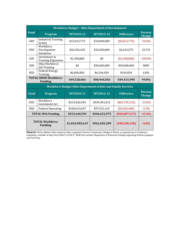| <b>Workforce Budget - Ohio Department of Development</b>            |                                            |                 |               |                   |                                 |  |  |  |  |
|---------------------------------------------------------------------|--------------------------------------------|-----------------|---------------|-------------------|---------------------------------|--|--|--|--|
| <b>Fund</b>                                                         | Program                                    | SFY2010-11      | SFY2012-13    | <b>Difference</b> | <b>Percent</b><br><b>Change</b> |  |  |  |  |
| GRF                                                                 | <b>Industrial Training</b><br>Grants       | \$15,812,773    | \$10,000,000  | (\$5,812,773)     | $-36.8%$                        |  |  |  |  |
| <b>FED</b>                                                          | Workforce<br>Development<br>Initiatives    | \$26,356,425    | \$32,600,000  | \$6,243,575       | 23.7%                           |  |  |  |  |
| <b>GSF</b>                                                          | Investment in<br><b>Training Expansion</b> | \$1,358,868     | \$0           | (\$1,358,868)     | $-100.0\%$                      |  |  |  |  |
| <b>SSR</b>                                                          | Ohio Workforce<br>Job Training             | \$0             | \$50,000,000  | \$50,000,000      | <b>NEW</b>                      |  |  |  |  |
| <b>FED</b>                                                          | <b>Federal Energy</b><br>Training          | \$6,000,000     | \$6,344,056   | \$344,056         | $6.0\%$                         |  |  |  |  |
| <b>TOTAL ODOD Workforce</b><br><b>Funding</b>                       |                                            | \$49,528,066    | \$98,944,056  | \$49,415,990      | 99.8%                           |  |  |  |  |
| <b>Workforce Budget-Ohio Department of Jobs and Family Services</b> |                                            |                 |               |                   |                                 |  |  |  |  |
| <b>Fund</b>                                                         | Program                                    | SFY2010-11      | SFY2012-13    | <b>Difference</b> | <b>Percent</b><br><b>Change</b> |  |  |  |  |
| <b>FED</b>                                                          | Workforce<br><b>Investment Act</b>         | \$415,026,944   | \$349,301,812 | (\$65,725,132)    | $-15.8%$                        |  |  |  |  |
| <b>FED</b>                                                          | <b>Federal Operating</b>                   | \$100,613,647   | \$97,331,163  | (\$3,282,484)     | $-3.3%$                         |  |  |  |  |
| <b>TOTAL WIA Funding</b>                                            |                                            | \$515,640,592   | \$446,632,975 | (\$69,007,617)    | $-13.4%$                        |  |  |  |  |
| <b>TOTAL Workforce</b><br><b>Funding</b>                            |                                            | \$1,010,905,619 | \$962,605,289 | $(*48,300,330)$   | $-4.8%$                         |  |  |  |  |

**Source:** Policy Matters Ohio, based on Ohio Legislative Service Commission, Budget in Detail, as reported out of conference committee, available at http://bit.ly/l6bv7J; 6/30/11. BOR line includes Department of Education funding supporting Perkins programs and Tech Prep.